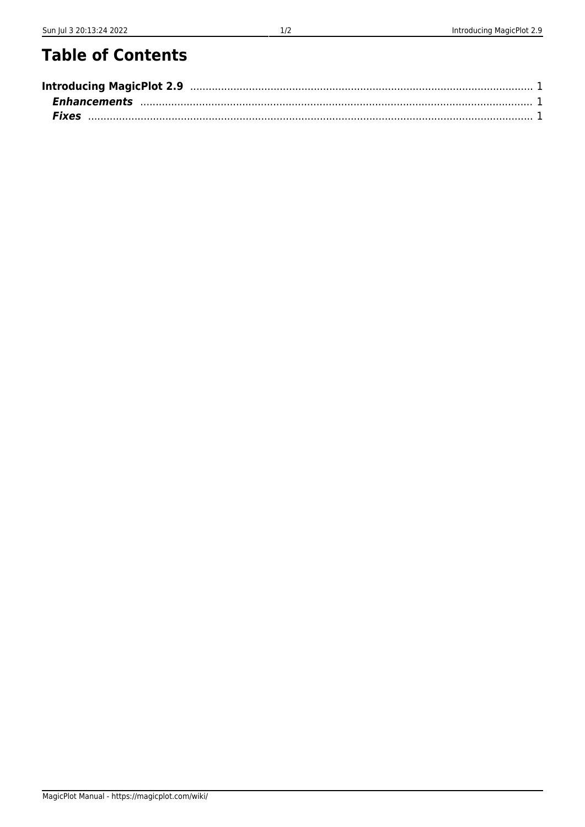## **Table of Contents**

| Introducing MagicPlot 2.9 manuscription and the control of the control of the control of the control of the control of the control of the control of the control of the control of the control of the control of the control o |  |
|--------------------------------------------------------------------------------------------------------------------------------------------------------------------------------------------------------------------------------|--|
|                                                                                                                                                                                                                                |  |
|                                                                                                                                                                                                                                |  |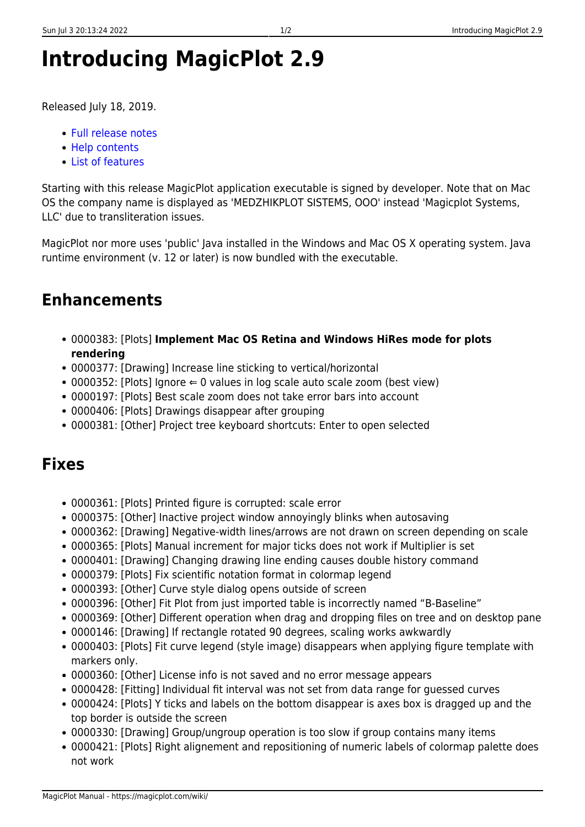## <span id="page-2-0"></span>**Introducing MagicPlot 2.9**

Released July 18, 2019.

- [Full release notes](https://magicplot.com/wiki/release_notes)
- [Help contents](https://magicplot.com/wiki/magicplot_wiki_home)
- [List of features](https://magicplot.com/wiki/comparison)

Starting with this release MagicPlot application executable is signed by developer. Note that on Mac OS the company name is displayed as 'MEDZHIKPLOT SISTEMS, OOO' instead 'Magicplot Systems, LLC' due to transliteration issues.

MagicPlot nor more uses 'public' Java installed in the Windows and Mac OS X operating system. Java runtime environment (v. 12 or later) is now bundled with the executable.

## <span id="page-2-1"></span>**Enhancements**

- 0000383: [Plots] **Implement Mac OS Retina and Windows HiRes mode for plots rendering**
- 0000377: [Drawing] Increase line sticking to vertical/horizontal
- $\bullet$  0000352: [Plots] Ignore  $\Leftarrow$  0 values in log scale auto scale zoom (best view)
- 0000197: [Plots] Best scale zoom does not take error bars into account
- 0000406: [Plots] Drawings disappear after grouping
- 0000381: [Other] Project tree keyboard shortcuts: Enter to open selected

## <span id="page-2-2"></span>**Fixes**

- 0000361: [Plots] Printed figure is corrupted: scale error
- 0000375: [Other] Inactive project window annoyingly blinks when autosaving
- 0000362: [Drawing] Negative-width lines/arrows are not drawn on screen depending on scale
- 0000365: [Plots] Manual increment for major ticks does not work if Multiplier is set
- 0000401: [Drawing] Changing drawing line ending causes double history command
- 0000379: [Plots] Fix scientific notation format in colormap legend
- 0000393: [Other] Curve style dialog opens outside of screen
- 0000396: [Other] Fit Plot from just imported table is incorrectly named "B-Baseline"
- 0000369: [Other] Different operation when drag and dropping files on tree and on desktop pane
- 0000146: [Drawing] If rectangle rotated 90 degrees, scaling works awkwardly
- 0000403: [Plots] Fit curve legend (style image) disappears when applying figure template with markers only.
- 0000360: [Other] License info is not saved and no error message appears
- 0000428: [Fitting] Individual fit interval was not set from data range for guessed curves
- 0000424: [Plots] Y ticks and labels on the bottom disappear is axes box is dragged up and the top border is outside the screen
- 0000330: [Drawing] Group/ungroup operation is too slow if group contains many items
- 0000421: [Plots] Right alignement and repositioning of numeric labels of colormap palette does not work